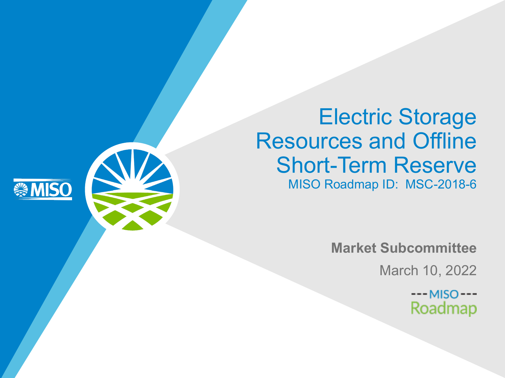#### Electric Storage Resources and Offline Short-Term Reserve MISO Roadmap ID: MSC-2018-6

**MISO** 

**Market Subcommittee**

March 10, 2022

 $--MISO---$ Roadmap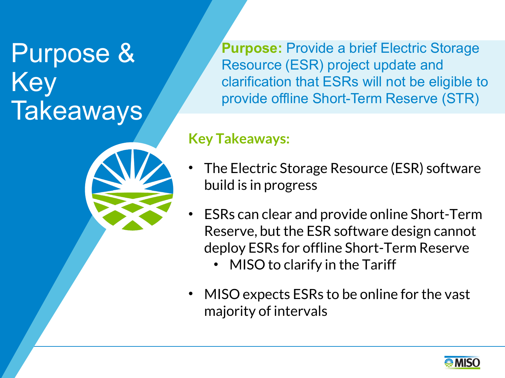# Purpose & Key **Takeaways**

**Purpose:** Provide a brief Electric Storage Resource (ESR) project update and clarification that ESRs will not be eligible to provide offline Short-Term Reserve (STR)

#### **Key Takeaways:**

- The Electric Storage Resource (ESR) software build is in progress
- ESRs can clear and provide online Short-Term Reserve, but the ESR software design cannot deploy ESRs for offline Short-Term Reserve
	- MISO to clarify in the Tariff
- MISO expects ESRs to be online for the vast majority of intervals

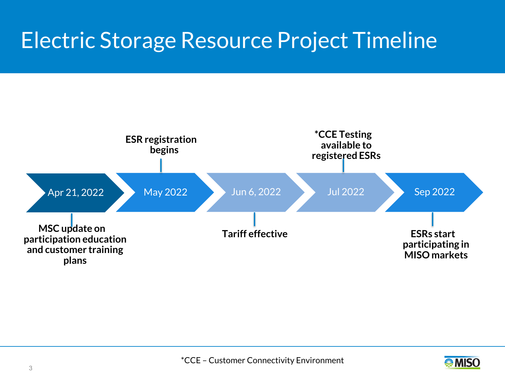#### Electric Storage Resource Project Timeline



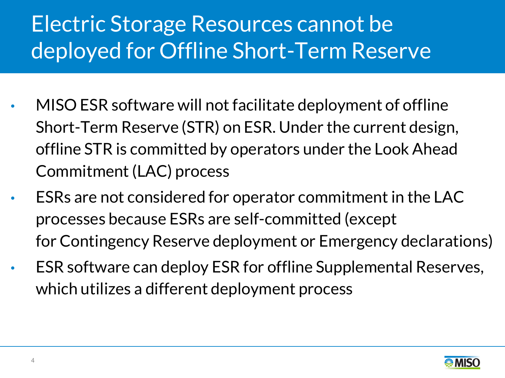### Electric Storage Resources cannot be deployed for Offline Short-Term Reserve

- MISO ESR software will not facilitate deployment of offline Short-Term Reserve (STR) on ESR. Under the current design, offline STR is committed by operators under the Look Ahead Commitment (LAC) process
- ESRs are not considered for operator commitment in the LAC processes because ESRs are self-committed (except for Contingency Reserve deployment or Emergency declarations)
- ESR software can deploy ESR for offline Supplemental Reserves, which utilizes a different deployment process

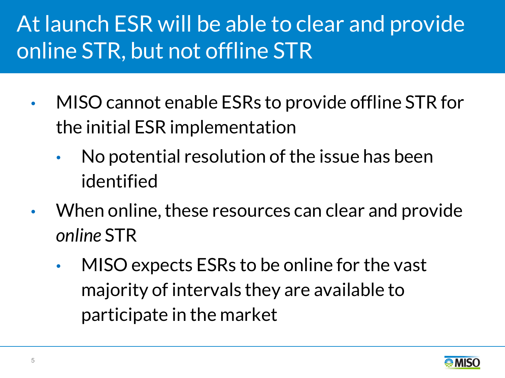## At launch ESR will be able to clear and provide online STR, but not offline STR

- MISO cannot enable ESRs to provide offline STR for the initial ESR implementation
	- No potential resolution of the issue has been identified
- When online, these resources can clear and provide *online* STR
	- MISO expects ESRs to be online for the vast majority of intervals they are available to participate in the market

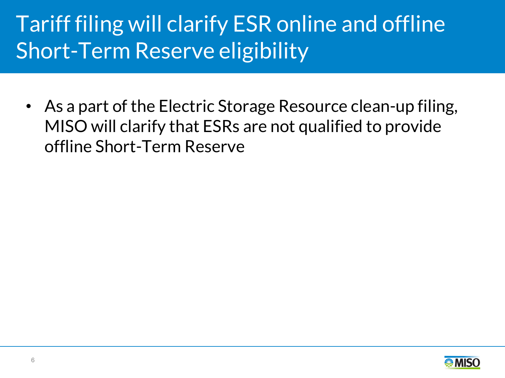### Tariff filing will clarify ESR online and offline Short-Term Reserve eligibility

• As a part of the Electric Storage Resource clean-up filing, MISO will clarify that ESRs are not qualified to provide offline Short-Term Reserve